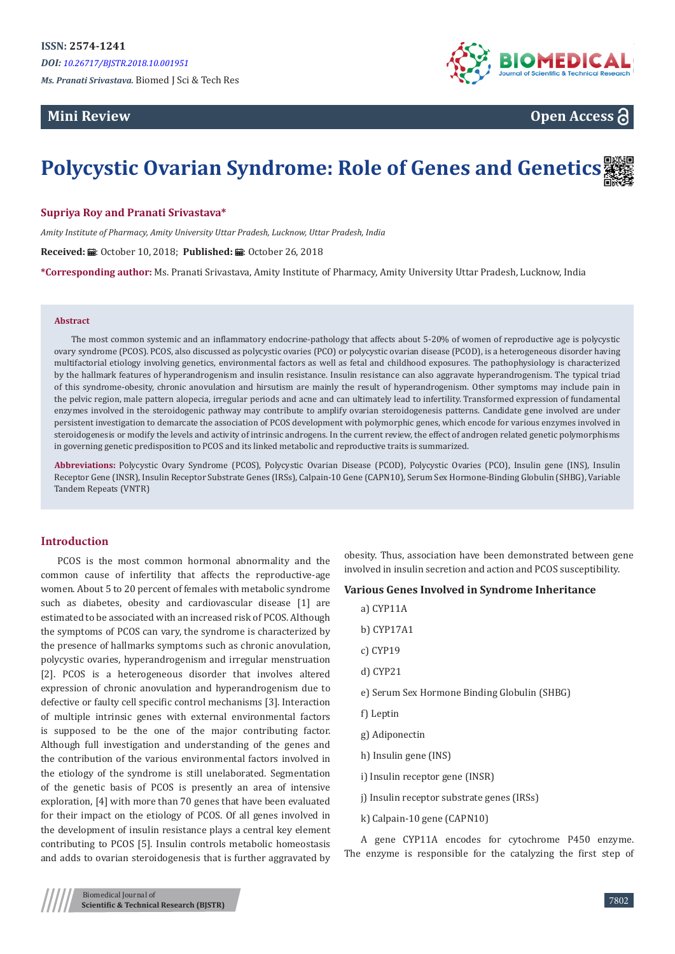# **Mini Review**



**Open Access**

# **Polycystic Ovarian Syndrome: Role of Genes and Genetics**

#### **Supriya Roy and Pranati Srivastava\***

*Amity Institute of Pharmacy, Amity University Uttar Pradesh, Lucknow, Uttar Pradesh, India*

Received: *a* : October 10, 2018; Published: a : October 26, 2018

**\*Corresponding author:** Ms. Pranati Srivastava, Amity Institute of Pharmacy, Amity University Uttar Pradesh, Lucknow, India

#### **Abstract**

The most common systemic and an inflammatory endocrine-pathology that affects about 5-20% of women of reproductive age is polycystic ovary syndrome (PCOS). PCOS, also discussed as polycystic ovaries (PCO) or polycystic ovarian disease (PCOD), is a heterogeneous disorder having multifactorial etiology involving genetics, environmental factors as well as fetal and childhood exposures. The pathophysiology is characterized by the hallmark features of hyperandrogenism and insulin resistance. Insulin resistance can also aggravate hyperandrogenism. The typical triad of this syndrome-obesity, chronic anovulation and hirsutism are mainly the result of hyperandrogenism. Other symptoms may include pain in the pelvic region, male pattern alopecia, irregular periods and acne and can ultimately lead to infertility. Transformed expression of fundamental enzymes involved in the steroidogenic pathway may contribute to amplify ovarian steroidogenesis patterns. Candidate gene involved are under persistent investigation to demarcate the association of PCOS development with polymorphic genes, which encode for various enzymes involved in steroidogenesis or modify the levels and activity of intrinsic androgens. In the current review, the effect of androgen related genetic polymorphisms in governing genetic predisposition to PCOS and its linked metabolic and reproductive traits is summarized.

**Abbreviations:** Polycystic Ovary Syndrome (PCOS), Polycystic Ovarian Disease (PCOD), Polycystic Ovaries (PCO), Insulin gene (INS), Insulin Receptor Gene (INSR), Insulin Receptor Substrate Genes (IRSs), Calpain-10 Gene (CAPN10), Serum Sex Hormone-Binding Globulin (SHBG), Variable Tandem Repeats (VNTR)

#### **Introduction**

PCOS is the most common hormonal abnormality and the common cause of infertility that affects the reproductive-age women. About 5 to 20 percent of females with metabolic syndrome such as diabetes, obesity and cardiovascular disease [1] are estimated to be associated with an increased risk of PCOS. Although the symptoms of PCOS can vary, the syndrome is characterized by the presence of hallmarks symptoms such as chronic anovulation, polycystic ovaries, hyperandrogenism and irregular menstruation [2]. PCOS is a heterogeneous disorder that involves altered expression of chronic anovulation and hyperandrogenism due to defective or faulty cell specific control mechanisms [3]. Interaction of multiple intrinsic genes with external environmental factors is supposed to be the one of the major contributing factor. Although full investigation and understanding of the genes and the contribution of the various environmental factors involved in the etiology of the syndrome is still unelaborated. Segmentation of the genetic basis of PCOS is presently an area of intensive exploration, [4] with more than 70 genes that have been evaluated for their impact on the etiology of PCOS. Of all genes involved in the development of insulin resistance plays a central key element contributing to PCOS [5]. Insulin controls metabolic homeostasis and adds to ovarian steroidogenesis that is further aggravated by

obesity. Thus, association have been demonstrated between gene involved in insulin secretion and action and PCOS susceptibility.

#### **Various Genes Involved in Syndrome Inheritance**

- a) CYP11A
- b) CYP17A1
- c) CYP19
- d) CYP21
- e) Serum Sex Hormone Binding Globulin (SHBG)
- f) Leptin
- g) Adiponectin
- h) Insulin gene (INS)
- i) Insulin receptor gene (INSR)
- j) Insulin receptor substrate genes (IRSs)
- k) Calpain-10 gene (CAPN10)

A gene CYP11A encodes for cytochrome P450 enzyme. The enzyme is responsible for the catalyzing the first step of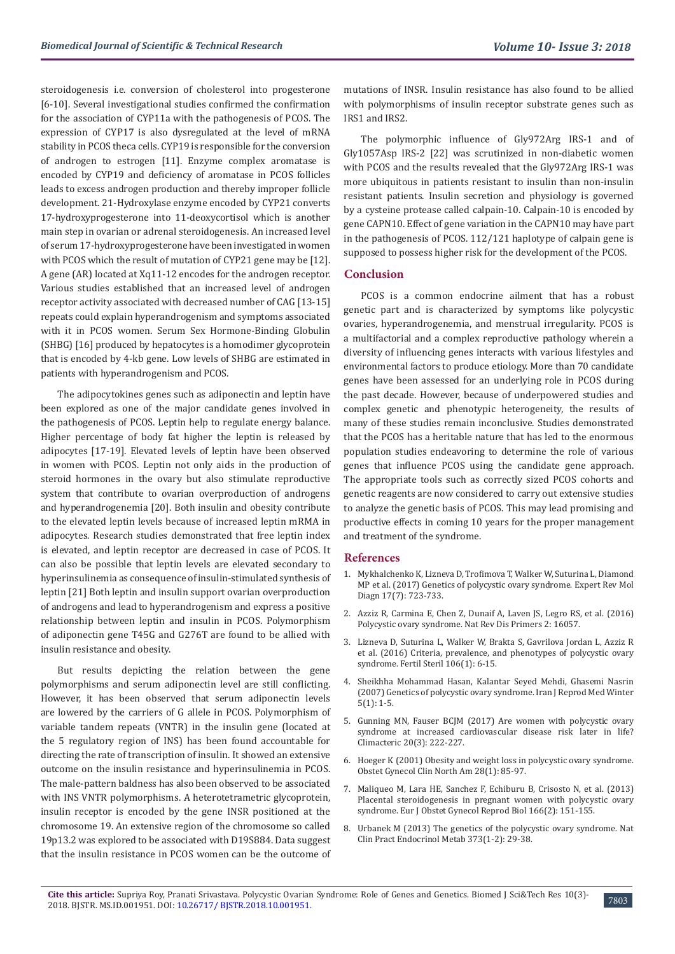steroidogenesis i.e. conversion of cholesterol into progesterone [6-10]. Several investigational studies confirmed the confirmation for the association of CYP11a with the pathogenesis of PCOS. The expression of CYP17 is also dysregulated at the level of mRNA stability in PCOS theca cells. CYP19 is responsible for the conversion of androgen to estrogen [11]. Enzyme complex aromatase is encoded by CYP19 and deficiency of aromatase in PCOS follicles leads to excess androgen production and thereby improper follicle development. 21-Hydroxylase enzyme encoded by CYP21 converts 17-hydroxyprogesterone into 11-deoxycortisol which is another main step in ovarian or adrenal steroidogenesis. An increased level of serum 17-hydroxyprogesterone have been investigated in women with PCOS which the result of mutation of CYP21 gene may be [12]. A gene (AR) located at Xq11-12 encodes for the androgen receptor. Various studies established that an increased level of androgen receptor activity associated with decreased number of CAG [13-15] repeats could explain hyperandrogenism and symptoms associated with it in PCOS women. Serum Sex Hormone-Binding Globulin (SHBG) [16] produced by hepatocytes is a homodimer glycoprotein that is encoded by 4-kb gene. Low levels of SHBG are estimated in patients with hyperandrogenism and PCOS.

The adipocytokines genes such as adiponectin and leptin have been explored as one of the major candidate genes involved in the pathogenesis of PCOS. Leptin help to regulate energy balance. Higher percentage of body fat higher the leptin is released by adipocytes [17-19]. Elevated levels of leptin have been observed in women with PCOS. Leptin not only aids in the production of steroid hormones in the ovary but also stimulate reproductive system that contribute to ovarian overproduction of androgens and hyperandrogenemia [20]. Both insulin and obesity contribute to the elevated leptin levels because of increased leptin mRMA in adipocytes. Research studies demonstrated that free leptin index is elevated, and leptin receptor are decreased in case of PCOS. It can also be possible that leptin levels are elevated secondary to hyperinsulinemia as consequence of insulin-stimulated synthesis of leptin [21] Both leptin and insulin support ovarian overproduction of androgens and lead to hyperandrogenism and express a positive relationship between leptin and insulin in PCOS. Polymorphism of adiponectin gene T45G and G276T are found to be allied with insulin resistance and obesity.

But results depicting the relation between the gene polymorphisms and serum adiponectin level are still conflicting. However, it has been observed that serum adiponectin levels are lowered by the carriers of G allele in PCOS. Polymorphism of variable tandem repeats (VNTR) in the insulin gene (located at the 5 regulatory region of INS) has been found accountable for directing the rate of transcription of insulin. It showed an extensive outcome on the insulin resistance and hyperinsulinemia in PCOS. The male-pattern baldness has also been observed to be associated with INS VNTR polymorphisms. A heterotetrametric glycoprotein, insulin receptor is encoded by the gene INSR positioned at the chromosome 19. An extensive region of the chromosome so called 19p13.2 was explored to be associated with D19S884. Data suggest that the insulin resistance in PCOS women can be the outcome of

mutations of INSR. Insulin resistance has also found to be allied with polymorphisms of insulin receptor substrate genes such as IRS1 and IRS2.

The polymorphic influence of Gly972Arg IRS-1 and of Gly1057Asp IRS-2 [22] was scrutinized in non-diabetic women with PCOS and the results revealed that the Gly972Arg IRS-1 was more ubiquitous in patients resistant to insulin than non-insulin resistant patients. Insulin secretion and physiology is governed by a cysteine protease called calpain-10. Calpain-10 is encoded by gene CAPN10. Effect of gene variation in the CAPN10 may have part in the pathogenesis of PCOS. 112/121 haplotype of calpain gene is supposed to possess higher risk for the development of the PCOS.

## **Conclusion**

PCOS is a common endocrine ailment that has a robust genetic part and is characterized by symptoms like polycystic ovaries, hyperandrogenemia, and menstrual irregularity. PCOS is a multifactorial and a complex reproductive pathology wherein a diversity of influencing genes interacts with various lifestyles and environmental factors to produce etiology. More than 70 candidate genes have been assessed for an underlying role in PCOS during the past decade. However, because of underpowered studies and complex genetic and phenotypic heterogeneity, the results of many of these studies remain inconclusive. Studies demonstrated that the PCOS has a heritable nature that has led to the enormous population studies endeavoring to determine the role of various genes that influence PCOS using the candidate gene approach. The appropriate tools such as correctly sized PCOS cohorts and genetic reagents are now considered to carry out extensive studies to analyze the genetic basis of PCOS. This may lead promising and productive effects in coming 10 years for the proper management and treatment of the syndrome.

#### **References**

- 1. [Mykhalchenko K, Lizneva D, Trofimova T, Walker W, Suturina L, Diamond](https://www.ncbi.nlm.nih.gov/pubmed/28602111) [MP et al. \(2017\) Genetics of polycystic ovary syndrome. Expert Rev Mol](https://www.ncbi.nlm.nih.gov/pubmed/28602111) [Diagn 17\(7\): 723-733.](https://www.ncbi.nlm.nih.gov/pubmed/28602111)
- 2. [Azziz R, Carmina E, Chen Z, Dunaif A, Laven JS, Legro RS, et al. \(2016\)](https://www.ncbi.nlm.nih.gov/pubmed/27510637) [Polycystic ovary syndrome. Nat Rev Dis Primers 2: 16057.](https://www.ncbi.nlm.nih.gov/pubmed/27510637)
- 3. [Lizneva D, Suturina L, Walker W, Brakta S, Gavrilova Jordan L, Azziz R](https://www.ncbi.nlm.nih.gov/pubmed/27233760) [et al. \(2016\) Criteria, prevalence, and phenotypes of polycystic ovary](https://www.ncbi.nlm.nih.gov/pubmed/27233760) [syndrome. Fertil Steril 106\(1\): 6-15.](https://www.ncbi.nlm.nih.gov/pubmed/27233760)
- 4. [Sheikhha Mohammad Hasan, Kalantar Seyed Mehdi, Ghasemi Nasrin](http://www.bioline.org.br/pdf?rm07001) [\(2007\) Genetics of polycystic ovary syndrome. Iran J Reprod Med Winter](http://www.bioline.org.br/pdf?rm07001) [5\(1\): 1-5.](http://www.bioline.org.br/pdf?rm07001)
- 5. [Gunning MN, Fauser BCJM \(2017\) Are women with polycystic ovary](https://www.ncbi.nlm.nih.gov/pubmed/28457146) [syndrome at increased cardiovascular disease risk later in life?](https://www.ncbi.nlm.nih.gov/pubmed/28457146) [Climacteric 20\(3\): 222-227](https://www.ncbi.nlm.nih.gov/pubmed/28457146).
- 6. [Hoeger K \(2001\) Obesity and weight loss in polycystic ovary syndrome.](https://www.ncbi.nlm.nih.gov/pubmed/11293006) [Obstet Gynecol Clin North Am 28\(1\): 85-97.](https://www.ncbi.nlm.nih.gov/pubmed/11293006)
- 7. [Maliqueo M, Lara HE, Sanchez F, Echiburu B, Crisosto N, et al. \(2013\)](https://www.ncbi.nlm.nih.gov/pubmed/23122578) [Placental steroidogenesis in pregnant women with polycystic ovary](https://www.ncbi.nlm.nih.gov/pubmed/23122578) [syndrome. Eur J Obstet Gynecol Reprod Biol 166\(2\): 151-155.](https://www.ncbi.nlm.nih.gov/pubmed/23122578)
- 8. [Urbanek M \(2013\) The genetics of the polycystic ovary syndrome. Nat](https://www.ncbi.nlm.nih.gov/pubmed/24002403) [Clin Pract Endocrinol Metab 373\(1-2\): 29-38.](https://www.ncbi.nlm.nih.gov/pubmed/24002403)